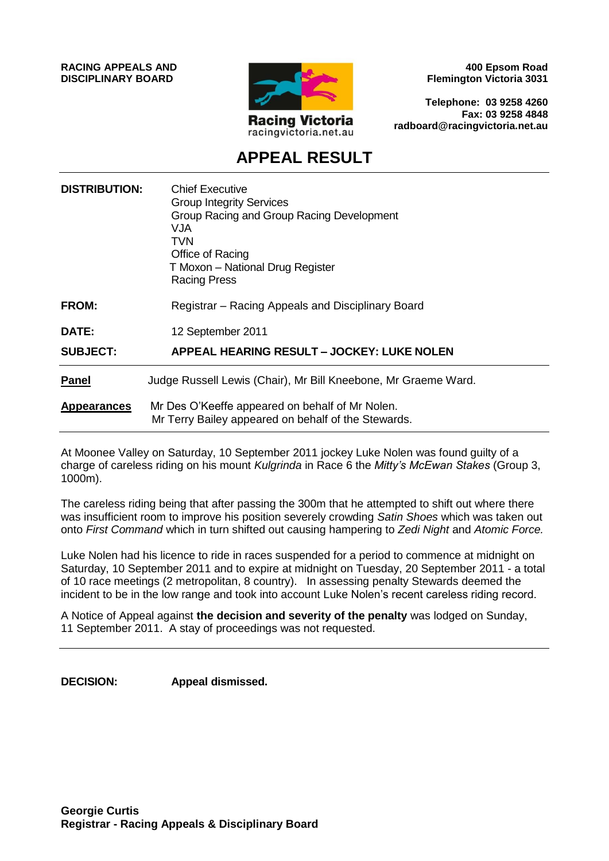**RACING APPEALS AND DISCIPLINARY BOARD**



**400 Epsom Road Flemington Victoria 3031**

**Telephone: 03 9258 4260 Fax: 03 9258 4848 radboard@racingvictoria.net.au**

# **APPEAL RESULT**

| <b>DISTRIBUTION:</b> | <b>Chief Executive</b><br><b>Group Integrity Services</b><br>Group Racing and Group Racing Development<br>VJA<br>TVN<br>Office of Racing<br>T Moxon - National Drug Register<br><b>Racing Press</b> |
|----------------------|-----------------------------------------------------------------------------------------------------------------------------------------------------------------------------------------------------|
| <b>FROM:</b>         | Registrar – Racing Appeals and Disciplinary Board                                                                                                                                                   |
| DATE:                | 12 September 2011                                                                                                                                                                                   |
| <b>SUBJECT:</b>      | <b>APPEAL HEARING RESULT - JOCKEY: LUKE NOLEN</b>                                                                                                                                                   |
| <b>Panel</b>         | Judge Russell Lewis (Chair), Mr Bill Kneebone, Mr Graeme Ward.                                                                                                                                      |
| <b>Appearances</b>   | Mr Des O'Keeffe appeared on behalf of Mr Nolen.<br>Mr Terry Bailey appeared on behalf of the Stewards.                                                                                              |

At Moonee Valley on Saturday, 10 September 2011 jockey Luke Nolen was found guilty of a charge of careless riding on his mount *Kulgrinda* in Race 6 the *Mitty's McEwan Stakes* (Group 3, 1000m).

The careless riding being that after passing the 300m that he attempted to shift out where there was insufficient room to improve his position severely crowding *Satin Shoes* which was taken out onto *First Command* which in turn shifted out causing hampering to *Zedi Night* and *Atomic Force.* 

Luke Nolen had his licence to ride in races suspended for a period to commence at midnight on Saturday, 10 September 2011 and to expire at midnight on Tuesday, 20 September 2011 - a total of 10 race meetings (2 metropolitan, 8 country). In assessing penalty Stewards deemed the incident to be in the low range and took into account Luke Nolen's recent careless riding record.

A Notice of Appeal against **the decision and severity of the penalty** was lodged on Sunday, 11 September 2011. A stay of proceedings was not requested.

**DECISION: Appeal dismissed.**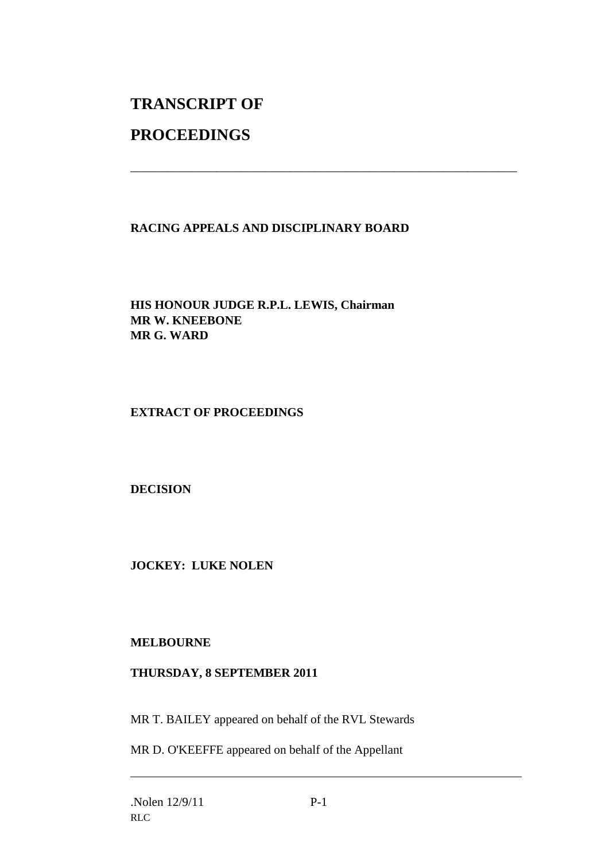# **TRANSCRIPT OF**

# **PROCEEDINGS**

## **RACING APPEALS AND DISCIPLINARY BOARD**

\_\_\_\_\_\_\_\_\_\_\_\_\_\_\_\_\_\_\_\_\_\_\_\_\_\_\_\_\_\_\_\_\_\_\_\_\_\_\_\_\_\_\_\_\_\_\_\_\_\_\_\_\_\_\_\_\_\_\_\_\_\_\_

**HIS HONOUR JUDGE R.P.L. LEWIS, Chairman MR W. KNEEBONE MR G. WARD**

#### **EXTRACT OF PROCEEDINGS**

**DECISION**

**JOCKEY: LUKE NOLEN**

### **MELBOURNE**

#### **THURSDAY, 8 SEPTEMBER 2011**

MR T. BAILEY appeared on behalf of the RVL Stewards

MR D. O'KEEFFE appeared on behalf of the Appellant